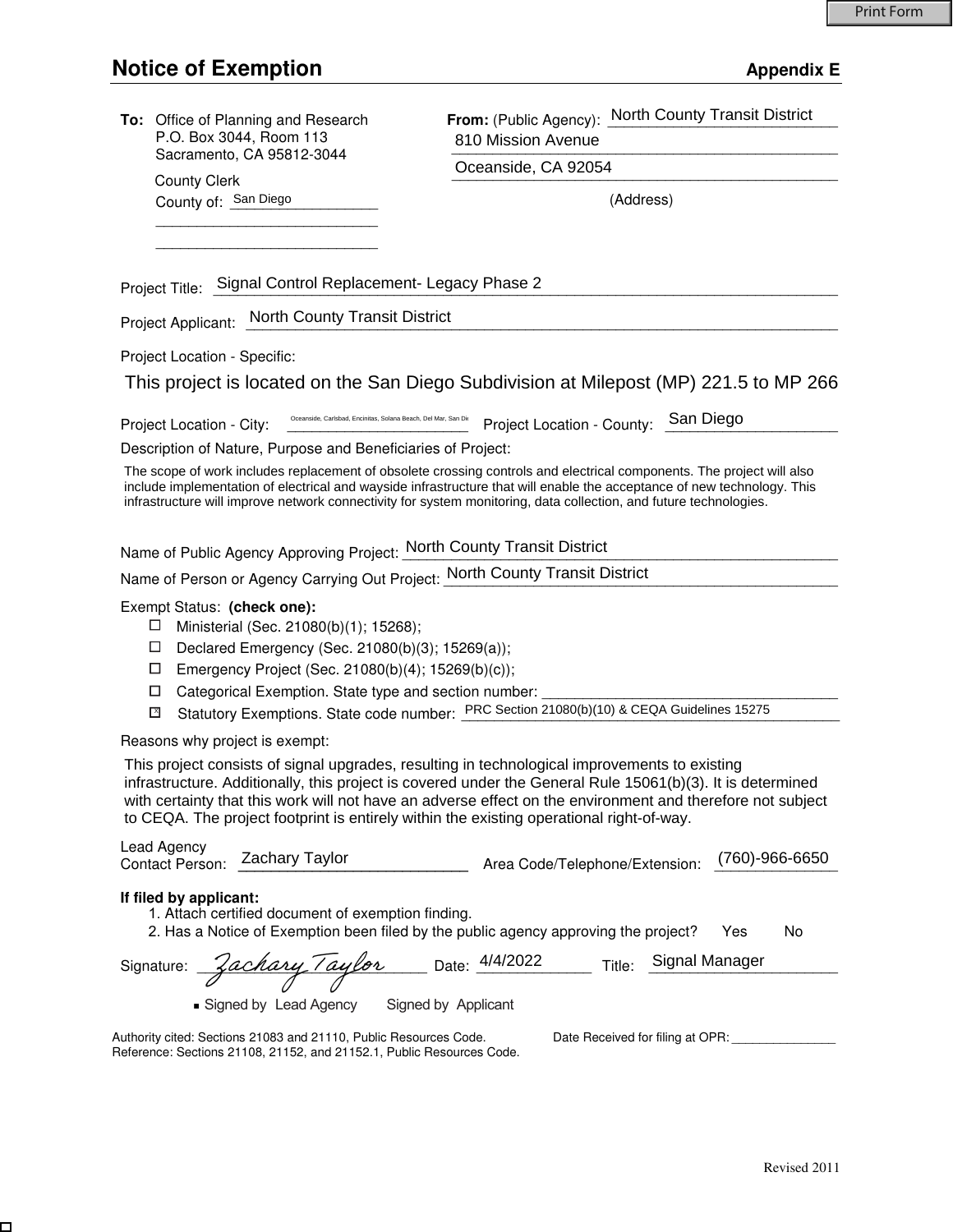$\Box$ 

| To: Office of Planning and Research<br>P.O. Box 3044, Room 113                                                                                                                                                                                                                                                                                                                                                        | 810 Mission Avenue                    | From: (Public Agency): North County Transit District |
|-----------------------------------------------------------------------------------------------------------------------------------------------------------------------------------------------------------------------------------------------------------------------------------------------------------------------------------------------------------------------------------------------------------------------|---------------------------------------|------------------------------------------------------|
| Sacramento, CA 95812-3044                                                                                                                                                                                                                                                                                                                                                                                             | Oceanside, CA 92054                   |                                                      |
| <b>County Clerk</b><br>County of: San Diego                                                                                                                                                                                                                                                                                                                                                                           |                                       | (Address)                                            |
|                                                                                                                                                                                                                                                                                                                                                                                                                       |                                       |                                                      |
|                                                                                                                                                                                                                                                                                                                                                                                                                       |                                       |                                                      |
| Project Title: Signal Control Replacement- Legacy Phase 2                                                                                                                                                                                                                                                                                                                                                             |                                       |                                                      |
| Project Applicant: North County Transit District                                                                                                                                                                                                                                                                                                                                                                      |                                       |                                                      |
| Project Location - Specific:                                                                                                                                                                                                                                                                                                                                                                                          |                                       |                                                      |
| This project is located on the San Diego Subdivision at Milepost (MP) 221.5 to MP 266                                                                                                                                                                                                                                                                                                                                 |                                       |                                                      |
| Oceanside, Carlsbad, Encinitas, Solana Beach, Del Mar, San Die<br>Project Location - City:                                                                                                                                                                                                                                                                                                                            | Project Location - County:            | San Diego                                            |
| Description of Nature, Purpose and Beneficiaries of Project:                                                                                                                                                                                                                                                                                                                                                          |                                       |                                                      |
| The scope of work includes replacement of obsolete crossing controls and electrical components. The project will also<br>include implementation of electrical and wayside infrastructure that will enable the acceptance of new technology. This<br>infrastructure will improve network connectivity for system monitoring, data collection, and future technologies.                                                 |                                       |                                                      |
| Name of Public Agency Approving Project: North County Transit District                                                                                                                                                                                                                                                                                                                                                |                                       |                                                      |
| Name of Person or Agency Carrying Out Project: North County Transit District                                                                                                                                                                                                                                                                                                                                          |                                       |                                                      |
| Exempt Status: (check one):<br>Ministerial (Sec. 21080(b)(1); 15268);<br>Declared Emergency (Sec. 21080(b)(3); 15269(a));<br>⊔<br>□<br>Emergency Project (Sec. 21080(b)(4); 15269(b)(c));<br>Categorical Exemption. State type and section number:<br>□<br>Statutory Exemptions. State code number: PRC Section 21080(b)(10) & CEQA Guidelines 15275<br>⊠                                                             |                                       |                                                      |
| Reasons why project is exempt:                                                                                                                                                                                                                                                                                                                                                                                        |                                       |                                                      |
| This project consists of signal upgrades, resulting in technological improvements to existing<br>infrastructure. Additionally, this project is covered under the General Rule 15061(b)(3). It is determined<br>with certainty that this work will not have an adverse effect on the environment and therefore not subject<br>to CEQA. The project footprint is entirely within the existing operational right-of-way. |                                       |                                                      |
| Lead Agency<br><b>Zachary Taylor</b><br>Contact Person:                                                                                                                                                                                                                                                                                                                                                               | Area Code/Telephone/Extension:        | $(760) - 966 - 6650$                                 |
| If filed by applicant:<br>1. Attach certified document of exemption finding.<br>2. Has a Notice of Exemption been filed by the public agency approving the project?                                                                                                                                                                                                                                                   |                                       | No.<br>Yes                                           |
| Zachary Taylor<br>Signature:<br>Signed by Lead Agency                                                                                                                                                                                                                                                                                                                                                                 | Date: 4/4/2022<br>Signed by Applicant | Signal Manager<br>Title:                             |
| Authority cited: Sections 21083 and 21110, Public Resources Code.<br>Reference: Sections 21108, 21152, and 21152.1, Public Resources Code.                                                                                                                                                                                                                                                                            |                                       | Date Received for filing at OPR:                     |